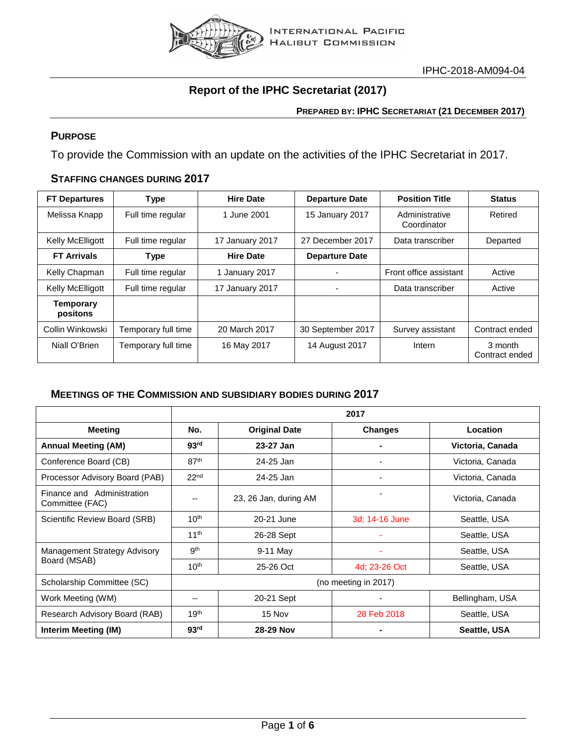

# **Report of the IPHC Secretariat (2017)**

**PREPARED BY: IPHC SECRETARIAT (21 DECEMBER 2017)**

### **PURPOSE**

To provide the Commission with an update on the activities of the IPHC Secretariat in 2017.

### **STAFFING CHANGES DURING 2017**

| <b>FT Departures</b>         | <b>Type</b>         | <b>Hire Date</b> | <b>Departure Date</b> | <b>Position Title</b>         | Status                    |
|------------------------------|---------------------|------------------|-----------------------|-------------------------------|---------------------------|
| Melissa Knapp                | Full time regular   | 1 June 2001      | 15 January 2017       | Administrative<br>Coordinator | Retired                   |
| Kelly McElligott             | Full time regular   | 17 January 2017  | 27 December 2017      | Data transcriber              | Departed                  |
| <b>FT Arrivals</b>           | <b>Type</b>         | <b>Hire Date</b> | <b>Departure Date</b> |                               |                           |
| Kelly Chapman                | Full time regular   | 1 January 2017   |                       | Front office assistant        | Active                    |
| Kelly McElligott             | Full time regular   | 17 January 2017  |                       | Data transcriber              | Active                    |
| <b>Temporary</b><br>positons |                     |                  |                       |                               |                           |
| Collin Winkowski             | Temporary full time | 20 March 2017    | 30 September 2017     | Survey assistant              | Contract ended            |
| Niall O'Brien                | Temporary full time | 16 May 2017      | 14 August 2017        | Intern                        | 3 month<br>Contract ended |

### **MEETINGS OF THE COMMISSION AND SUBSIDIARY BODIES DURING 2017**

|                                                  | 2017                 |                       |                          |                  |  |
|--------------------------------------------------|----------------------|-----------------------|--------------------------|------------------|--|
| <b>Meeting</b>                                   | No.                  | <b>Original Date</b>  | <b>Changes</b>           | Location         |  |
| <b>Annual Meeting (AM)</b>                       | 93 <sup>rd</sup>     | 23-27 Jan             |                          | Victoria, Canada |  |
| Conference Board (CB)                            | 87 <sup>th</sup>     | 24-25 Jan             | $\overline{\phantom{0}}$ | Victoria, Canada |  |
| Processor Advisory Board (PAB)                   | 22 <sup>nd</sup>     | 24-25 Jan             |                          | Victoria, Canada |  |
| Administration<br>Finance and<br>Committee (FAC) |                      | 23, 26 Jan, during AM |                          | Victoria, Canada |  |
| Scientific Review Board (SRB)                    | 10 <sup>th</sup>     | 20-21 June            | 3d; 14-16 June           | Seattle, USA     |  |
|                                                  | $11^{th}$            | 26-28 Sept            |                          | Seattle, USA     |  |
| <b>Management Strategy Advisory</b>              | gth                  | 9-11 May              |                          | Seattle, USA     |  |
| Board (MSAB)                                     | 10 <sup>th</sup>     | 25-26 Oct             | 4d; 23-26 Oct            | Seattle, USA     |  |
| Scholarship Committee (SC)                       | (no meeting in 2017) |                       |                          |                  |  |
| Work Meeting (WM)                                | --                   | 20-21 Sept            |                          | Bellingham, USA  |  |
| Research Advisory Board (RAB)                    | 19 <sup>th</sup>     | 15 Nov                | 28 Feb 2018              | Seattle, USA     |  |
| Interim Meeting (IM)                             | 93 <sup>rd</sup>     | 28-29 Nov             |                          | Seattle, USA     |  |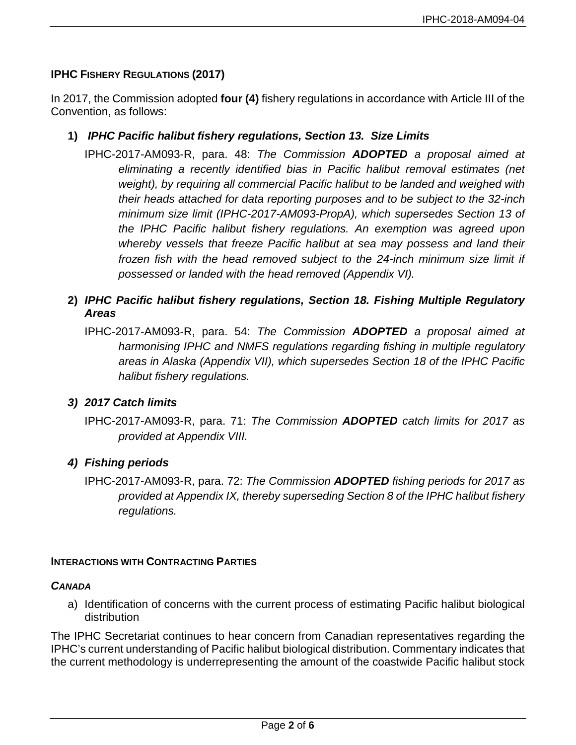# **IPHC FISHERY REGULATIONS (2017)**

In 2017, the Commission adopted **four (4)** fishery regulations in accordance with Article III of the Convention, as follows:

# **1)** *IPHC Pacific halibut fishery regulations, Section 13. Size Limits*

IPHC-2017-AM093-R, para. 48: *The Commission ADOPTED a proposal aimed at eliminating a recently identified bias in Pacific halibut removal estimates (net weight), by requiring all commercial Pacific halibut to be landed and weighed with their heads attached for data reporting purposes and to be subject to the 32-inch minimum size limit (IPHC-2017-AM093-PropA), which supersedes Section 13 of the IPHC Pacific halibut fishery regulations. An exemption was agreed upon whereby vessels that freeze Pacific halibut at sea may possess and land their frozen fish with the head removed subject to the 24-inch minimum size limit if possessed or landed with the head removed (Appendix VI).* 

# **2)** *IPHC Pacific halibut fishery regulations, Section 18. Fishing Multiple Regulatory Areas*

IPHC-2017-AM093-R, para. 54: *The Commission ADOPTED a proposal aimed at harmonising IPHC and NMFS regulations regarding fishing in multiple regulatory areas in Alaska (Appendix VII), which supersedes Section 18 of the IPHC Pacific halibut fishery regulations.*

# *3) 2017 Catch limits*

IPHC-2017-AM093-R, para. 71: *The Commission ADOPTED catch limits for 2017 as provided at Appendix VIII.*

# *4) Fishing periods*

IPHC-2017-AM093-R, para. 72: *The Commission ADOPTED fishing periods for 2017 as provided at Appendix IX, thereby superseding Section 8 of the IPHC halibut fishery regulations.*

# **INTERACTIONS WITH CONTRACTING PARTIES**

# *CANADA*

a) Identification of concerns with the current process of estimating Pacific halibut biological distribution

The IPHC Secretariat continues to hear concern from Canadian representatives regarding the IPHC's current understanding of Pacific halibut biological distribution. Commentary indicates that the current methodology is underrepresenting the amount of the coastwide Pacific halibut stock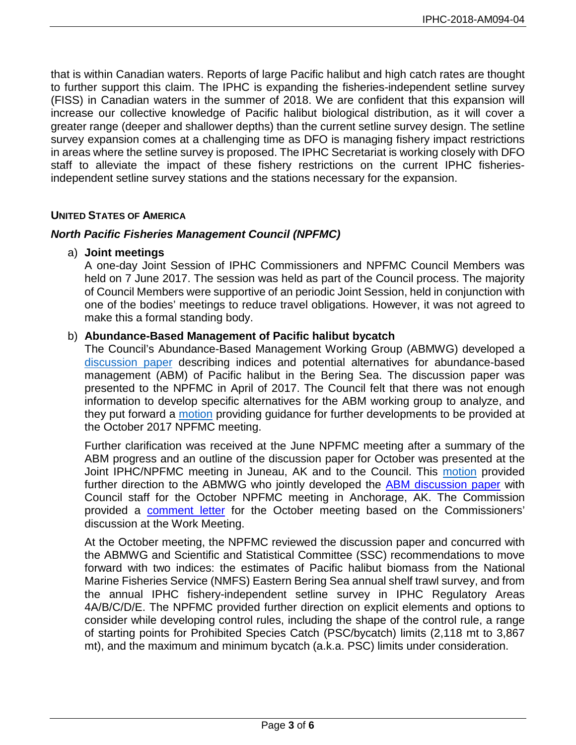that is within Canadian waters. Reports of large Pacific halibut and high catch rates are thought to further support this claim. The IPHC is expanding the fisheries-independent setline survey (FISS) in Canadian waters in the summer of 2018. We are confident that this expansion will increase our collective knowledge of Pacific halibut biological distribution, as it will cover a greater range (deeper and shallower depths) than the current setline survey design. The setline survey expansion comes at a challenging time as DFO is managing fishery impact restrictions in areas where the setline survey is proposed. The IPHC Secretariat is working closely with DFO staff to alleviate the impact of these fishery restrictions on the current IPHC fisheriesindependent setline survey stations and the stations necessary for the expansion.

#### **UNITED STATES OF AMERICA**

#### *North Pacific Fisheries Management Council (NPFMC)*

#### a) **Joint meetings**

A one-day Joint Session of IPHC Commissioners and NPFMC Council Members was held on 7 June 2017. The session was held as part of the Council process. The majority of Council Members were supportive of an periodic Joint Session, held in conjunction with one of the bodies' meetings to reduce travel obligations. However, it was not agreed to make this a formal standing body.

#### b) **Abundance-Based Management of Pacific halibut bycatch**

The Council's Abundance-Based Management Working Group (ABMWG) developed a [discussion paper](http://npfmc.legistar.com/gateway.aspx?M=F&ID=c58db10b-f3e7-4f64-9797-87dfa4f59dc7.pdf) describing indices and potential alternatives for abundance-based management (ABM) of Pacific halibut in the Bering Sea. The discussion paper was presented to the NPFMC in April of 2017. The Council felt that there was not enough information to develop specific alternatives for the ABM working group to analyze, and they put forward a [motion](http://npfmc.legistar.com/gateway.aspx?M=F&ID=18bf7c1e-43b7-43cf-a453-6a8fc479a6f9.pdf) providing guidance for further developments to be provided at the October 2017 NPFMC meeting.

Further clarification was received at the June NPFMC meeting after a summary of the ABM progress and an outline of the discussion paper for October was presented at the Joint IPHC/NPFMC meeting in Juneau, AK and to the Council. This [motion](http://npfmc.legistar.com/gateway.aspx?M=F&ID=c9914298-b41a-4a8c-96bd-9052d7b45033.pdf) provided further direction to the ABMWG who jointly developed the [ABM discussion paper](https://npfmc.legistar.com/View.ashx?M=F&ID=5414079&GUID=0C1E68B3-E3C9-42AE-921D-56CE9E6E405A) with Council staff for the October NPFMC meeting in Anchorage, AK. The Commission provided a [comment letter](https://npfmc.legistar.com/View.ashx?M=F&ID=5454704&GUID=836AAF25-B685-4ED7-A219-EC3C4950AE1A) for the October meeting based on the Commissioners' discussion at the Work Meeting.

At the October meeting, the NPFMC reviewed the discussion paper and concurred with the ABMWG and Scientific and Statistical Committee (SSC) recommendations to move forward with two indices: the estimates of Pacific halibut biomass from the National Marine Fisheries Service (NMFS) Eastern Bering Sea annual shelf trawl survey, and from the annual IPHC fishery-independent setline survey in IPHC Regulatory Areas 4A/B/C/D/E. The NPFMC provided further direction on explicit elements and options to consider while developing control rules, including the shape of the control rule, a range of starting points for Prohibited Species Catch (PSC/bycatch) limits (2,118 mt to 3,867 mt), and the maximum and minimum bycatch (a.k.a. PSC) limits under consideration.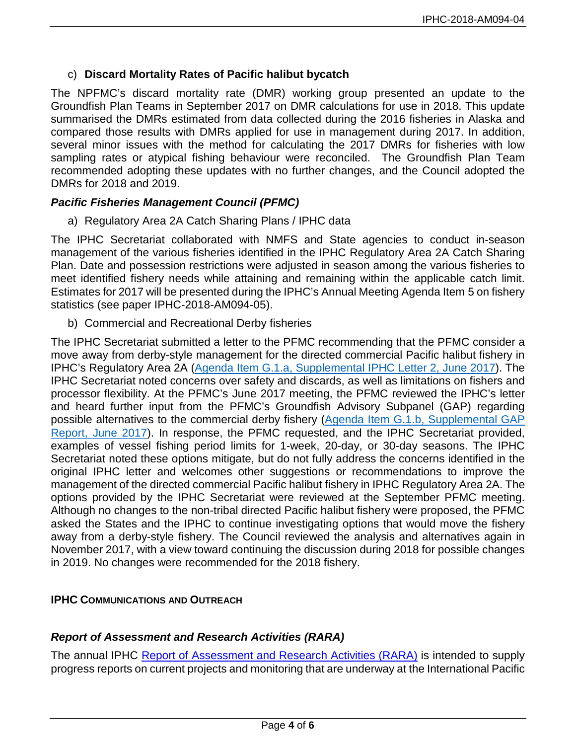# c) **Discard Mortality Rates of Pacific halibut bycatch**

The NPFMC's discard mortality rate (DMR) working group presented an update to the Groundfish Plan Teams in September 2017 on DMR calculations for use in 2018. This update summarised the DMRs estimated from data collected during the 2016 fisheries in Alaska and compared those results with DMRs applied for use in management during 2017. In addition, several minor issues with the method for calculating the 2017 DMRs for fisheries with low sampling rates or atypical fishing behaviour were reconciled. The Groundfish Plan Team recommended adopting these updates with no further changes, and the Council adopted the DMRs for 2018 and 2019.

### *Pacific Fisheries Management Council (PFMC)*

a) Regulatory Area 2A Catch Sharing Plans / IPHC data

The IPHC Secretariat collaborated with NMFS and State agencies to conduct in-season management of the various fisheries identified in the IPHC Regulatory Area 2A Catch Sharing Plan. Date and possession restrictions were adjusted in season among the various fisheries to meet identified fishery needs while attaining and remaining within the applicable catch limit. Estimates for 2017 will be presented during the IPHC's Annual Meeting Agenda Item 5 on fishery statistics (see paper IPHC-2018-AM094-05).

b) Commercial and Recreational Derby fisheries

The IPHC Secretariat submitted a letter to the PFMC recommending that the PFMC consider a move away from derby-style management for the directed commercial Pacific halibut fishery in IPHC's Regulatory Area 2A [\(Agenda Item G.1.a, Supplemental IPHC Letter 2, June 2017\)](http://www.pcouncil.org/wp-content/uploads/2017/06/G1a_Sup_IPHC_Ltr2_CommlDerbyFishery_Jun2017BB.pdf). The IPHC Secretariat noted concerns over safety and discards, as well as limitations on fishers and processor flexibility. At the PFMC's June 2017 meeting, the PFMC reviewed the IPHC's letter and heard further input from the PFMC's Groundfish Advisory Subpanel (GAP) regarding possible alternatives to the commercial derby fishery [\(Agenda Item G.1.b, Supplemental GAP](http://www.pcouncil.org/wp-content/uploads/2017/06/G1b_Sup_GAP_Rpt_Jun2017BB.pdf)  [Report, June 2017\)](http://www.pcouncil.org/wp-content/uploads/2017/06/G1b_Sup_GAP_Rpt_Jun2017BB.pdf). In response, the PFMC requested, and the IPHC Secretariat provided, examples of vessel fishing period limits for 1-week, 20-day, or 30-day seasons. The IPHC Secretariat noted these options mitigate, but do not fully address the concerns identified in the original IPHC letter and welcomes other suggestions or recommendations to improve the management of the directed commercial Pacific halibut fishery in IPHC Regulatory Area 2A. The options provided by the IPHC Secretariat were reviewed at the September PFMC meeting. Although no changes to the non-tribal directed Pacific halibut fishery were proposed, the PFMC asked the States and the IPHC to continue investigating options that would move the fishery away from a derby-style fishery. The Council reviewed the analysis and alternatives again in November 2017, with a view toward continuing the discussion during 2018 for possible changes in 2019. No changes were recommended for the 2018 fishery.

# **IPHC COMMUNICATIONS AND OUTREACH**

# *Report of Assessment and Research Activities (RARA)*

The annual IPHC [Report of Assessment and Research Activities \(RARA\)](http://iphc.int/library/documents/category/report-of-research-assessment-and-research-activities-rara) is intended to supply progress reports on current projects and monitoring that are underway at the International Pacific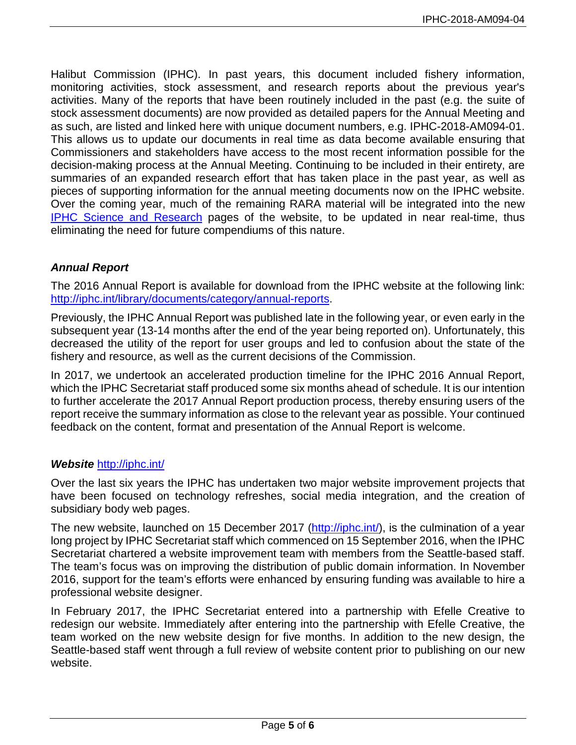Halibut Commission (IPHC). In past years, this document included fishery information, monitoring activities, stock assessment, and research reports about the previous year's activities. Many of the reports that have been routinely included in the past (e.g. the suite of stock assessment documents) are now provided as detailed papers for the Annual Meeting and as such, are listed and linked here with unique document numbers, e.g. IPHC-2018-AM094-01. This allows us to update our documents in real time as data become available ensuring that Commissioners and stakeholders have access to the most recent information possible for the decision-making process at the Annual Meeting. Continuing to be included in their entirety, are summaries of an expanded research effort that has taken place in the past year, as well as pieces of supporting information for the annual meeting documents now on the IPHC website. Over the coming year, much of the remaining RARA material will be integrated into the new IPHC [Science and Research](http://iphc.int/management/science-and-research) pages of the website, to be updated in near real-time, thus eliminating the need for future compendiums of this nature.

### *Annual Report*

The 2016 Annual Report is available for download from the IPHC website at the following link: [http://iphc.int/library/documents/category/annual-reports.](http://iphc.int/library/documents/category/annual-reports)

Previously, the IPHC Annual Report was published late in the following year, or even early in the subsequent year (13-14 months after the end of the year being reported on). Unfortunately, this decreased the utility of the report for user groups and led to confusion about the state of the fishery and resource, as well as the current decisions of the Commission.

In 2017, we undertook an accelerated production timeline for the IPHC 2016 Annual Report, which the IPHC Secretariat staff produced some six months ahead of schedule. It is our intention to further accelerate the 2017 Annual Report production process, thereby ensuring users of the report receive the summary information as close to the relevant year as possible. Your continued feedback on the content, format and presentation of the Annual Report is welcome.

### *Website* <http://iphc.int/>

Over the last six years the IPHC has undertaken two major website improvement projects that have been focused on technology refreshes, social media integration, and the creation of subsidiary body web pages.

The new website, launched on 15 December 2017 [\(http://iphc.int/\)](http://iphc.int/), is the culmination of a year long project by IPHC Secretariat staff which commenced on 15 September 2016, when the IPHC Secretariat chartered a website improvement team with members from the Seattle-based staff. The team's focus was on improving the distribution of public domain information. In November 2016, support for the team's efforts were enhanced by ensuring funding was available to hire a professional website designer.

In February 2017, the IPHC Secretariat entered into a partnership with Efelle Creative to redesign our website. Immediately after entering into the partnership with Efelle Creative, the team worked on the new website design for five months. In addition to the new design, the Seattle-based staff went through a full review of website content prior to publishing on our new website.